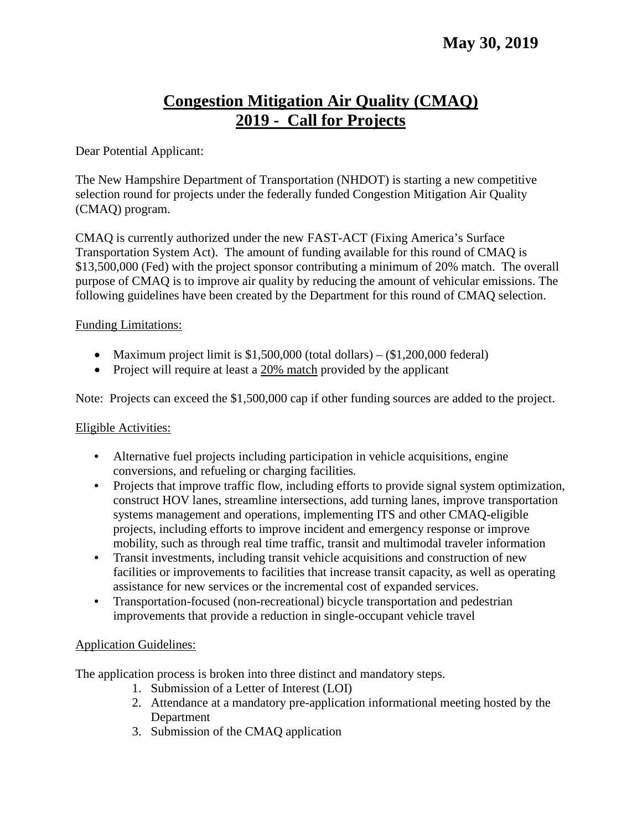# **Congestion Mitigation Air Quality (CMAQ) 2019 - Call for Projects**

#### Dear Potential Applicant:

The New Hampshire Department of Transportation (NHDOT) is starting a new competitive selection round for projects under the federally funded Congestion Mitigation Air Quality (CMAQ) program.

CMAQ is currently authorized under the new FAST-ACT (Fixing America's Surface Transportation System Act). The amount of funding available for this round of CMAQ is \$13,500,000 (Fed) with the project sponsor contributing a minimum of 20% match. The overall purpose of CMAQ is to improve air quality by reducing the amount of vehicular emissions. The following guidelines have been created by the Department for this round of CMAQ selection.

#### Funding Limitations:

- Maximum project limit is  $$1,500,000$  (total dollars)  $$1,200,000$  federal)
- Project will require at least a 20% match provided by the applicant

Note: Projects can exceed the \$1,500,000 cap if other funding sources are added to the project.

#### Eligible Activities:

- Alternative fuel projects including participation in vehicle acquisitions, engine conversions, and refueling or charging facilities*.*
- Projects that improve traffic flow, including efforts to provide signal system optimization, construct HOV lanes, streamline intersections, add turning lanes, improve transportation systems management and operations, implementing ITS and other CMAQ-eligible projects, including efforts to improve incident and emergency response or improve mobility, such as through real time traffic, transit and multimodal traveler information
- Transit investments, including transit vehicle acquisitions and construction of new facilities or improvements to facilities that increase transit capacity, as well as operating assistance for new services or the incremental cost of expanded services.
- Transportation-focused (non-recreational) bicycle transportation and pedestrian improvements that provide a reduction in single-occupant vehicle travel

## Application Guidelines:

The application process is broken into three distinct and mandatory steps.

- 1. Submission of a Letter of Interest (LOI)
- 2. Attendance at a mandatory pre-application informational meeting hosted by the Department
- 3. Submission of the CMAQ application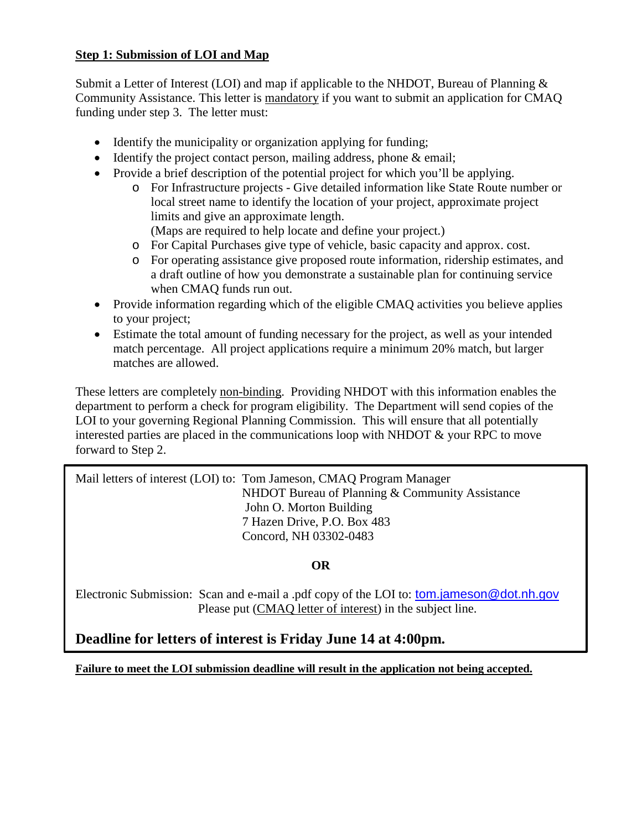#### **Step 1: Submission of LOI and Map**

Submit a Letter of Interest (LOI) and map if applicable to the NHDOT, Bureau of Planning & Community Assistance. This letter is mandatory if you want to submit an application for CMAQ funding under step 3. The letter must:

- Identify the municipality or organization applying for funding;
- Identify the project contact person, mailing address, phone & email;
- Provide a brief description of the potential project for which you'll be applying.
	- o For Infrastructure projects Give detailed information like State Route number or local street name to identify the location of your project, approximate project limits and give an approximate length.
		- (Maps are required to help locate and define your project.)
	- o For Capital Purchases give type of vehicle, basic capacity and approx. cost.
	- o For operating assistance give proposed route information, ridership estimates, and a draft outline of how you demonstrate a sustainable plan for continuing service when CMAQ funds run out.
- Provide information regarding which of the eligible CMAQ activities you believe applies to your project;
- Estimate the total amount of funding necessary for the project, as well as your intended match percentage. All project applications require a minimum 20% match, but larger matches are allowed.

These letters are completely non-binding. Providing NHDOT with this information enables the department to perform a check for program eligibility. The Department will send copies of the LOI to your governing Regional Planning Commission. This will ensure that all potentially interested parties are placed in the communications loop with NHDOT & your RPC to move forward to Step 2.

Mail letters of interest (LOI) to: Tom Jameson, CMAQ Program Manager NHDOT Bureau of Planning & Community Assistance John O. Morton Building 7 Hazen Drive, P.O. Box 483 Concord, NH 03302-0483

## **OR**

Electronic Submission: Scan and e-mail a .pdf copy of the LOI to: [tom.jameson@dot.nh.gov](mailto:tom.jameson@dot.nh.gov) Please put (CMAQ letter of interest) in the subject line.

# **Deadline for letters of interest is Friday June 14 at 4:00pm.**

**Failure to meet the LOI submission deadline will result in the application not being accepted.**